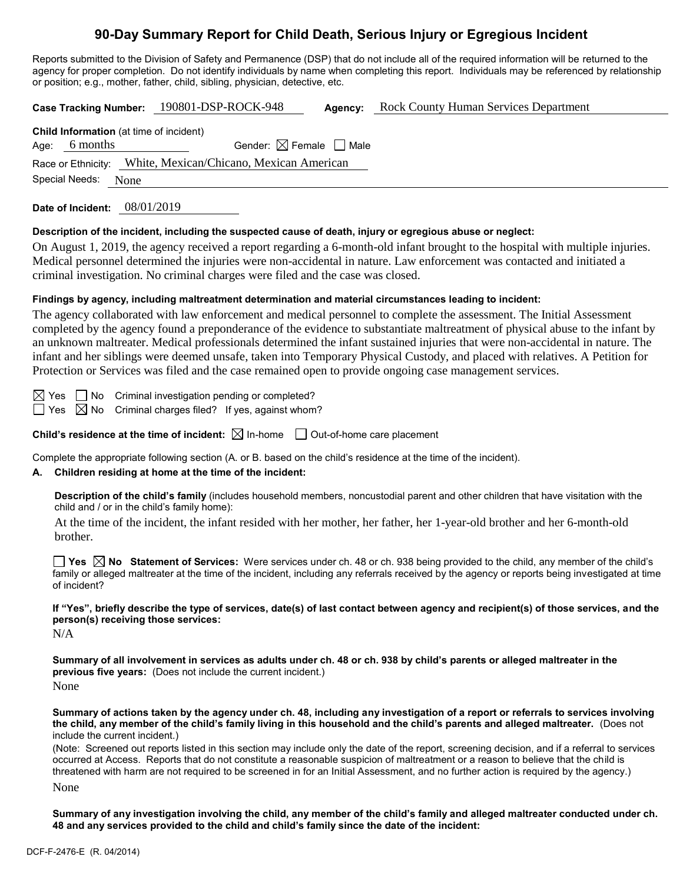# **90-Day Summary Report for Child Death, Serious Injury or Egregious Incident**

Reports submitted to the Division of Safety and Permanence (DSP) that do not include all of the required information will be returned to the agency for proper completion. Do not identify individuals by name when completing this report. Individuals may be referenced by relationship or position; e.g., mother, father, child, sibling, physician, detective, etc.

**Case Tracking Number:** 190801-DSP-ROCK-948 **Agency:** Rock County Human Services Department **Child Information** (at time of incident) Age: 6 months Gender:  $\boxtimes$  Female  $\Box$  Male Race or Ethnicity: White, Mexican/Chicano, Mexican American Special Needs: None

**Date of Incident:** 08/01/2019

### **Description of the incident, including the suspected cause of death, injury or egregious abuse or neglect:**

On August 1, 2019, the agency received a report regarding a 6-month-old infant brought to the hospital with multiple injuries. Medical personnel determined the injuries were non-accidental in nature. Law enforcement was contacted and initiated a criminal investigation. No criminal charges were filed and the case was closed.

### **Findings by agency, including maltreatment determination and material circumstances leading to incident:**

The agency collaborated with law enforcement and medical personnel to complete the assessment. The Initial Assessment completed by the agency found a preponderance of the evidence to substantiate maltreatment of physical abuse to the infant by an unknown maltreater. Medical professionals determined the infant sustained injuries that were non-accidental in nature. The infant and her siblings were deemed unsafe, taken into Temporary Physical Custody, and placed with relatives. A Petition for Protection or Services was filed and the case remained open to provide ongoing case management services.

 $\boxtimes$  Yes  $\Box$  No Criminal investigation pending or completed?

 $\exists$  Yes  $\boxtimes$  No  $\,$  Criminal charges filed? If yes, against whom?

**Child's residence at the time of incident:**  $\boxtimes$  In-home  $\Box$  Out-of-home care placement

Complete the appropriate following section (A. or B. based on the child's residence at the time of the incident).

#### **A. Children residing at home at the time of the incident:**

**Description of the child's family** (includes household members, noncustodial parent and other children that have visitation with the child and / or in the child's family home):

At the time of the incident, the infant resided with her mother, her father, her 1-year-old brother and her 6-month-old brother.

**Yes No Statement of Services:** Were services under ch. 48 or ch. 938 being provided to the child, any member of the child's family or alleged maltreater at the time of the incident, including any referrals received by the agency or reports being investigated at time of incident?

**If "Yes", briefly describe the type of services, date(s) of last contact between agency and recipient(s) of those services, and the person(s) receiving those services:**

N/A

**Summary of all involvement in services as adults under ch. 48 or ch. 938 by child's parents or alleged maltreater in the previous five years:** (Does not include the current incident.) None

**Summary of actions taken by the agency under ch. 48, including any investigation of a report or referrals to services involving the child, any member of the child's family living in this household and the child's parents and alleged maltreater.** (Does not include the current incident.)

(Note: Screened out reports listed in this section may include only the date of the report, screening decision, and if a referral to services occurred at Access. Reports that do not constitute a reasonable suspicion of maltreatment or a reason to believe that the child is threatened with harm are not required to be screened in for an Initial Assessment, and no further action is required by the agency.)

None

**Summary of any investigation involving the child, any member of the child's family and alleged maltreater conducted under ch. 48 and any services provided to the child and child's family since the date of the incident:**